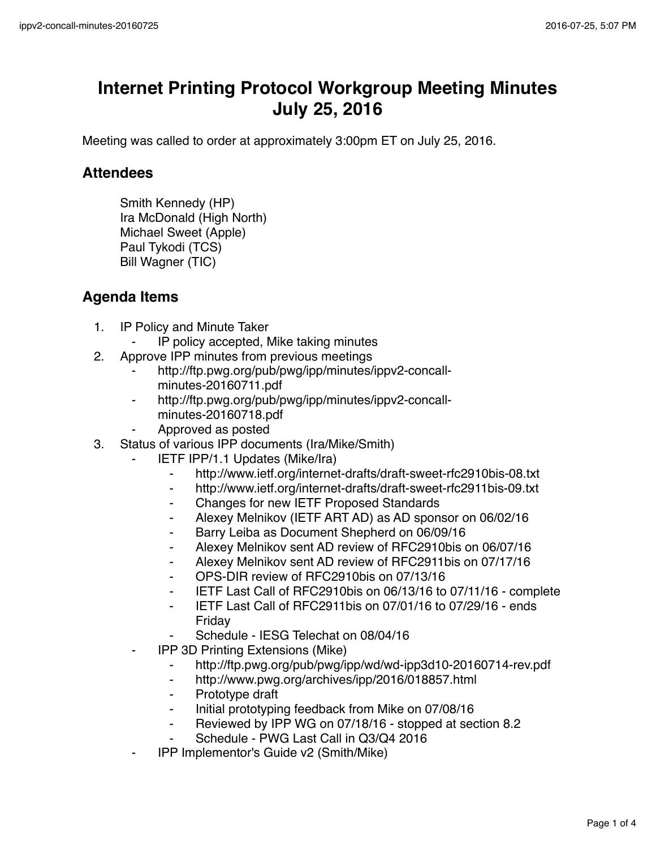## **Internet Printing Protocol Workgroup Meeting Minutes July 25, 2016**

Meeting was called to order at approximately 3:00pm ET on July 25, 2016.

## **Attendees**

Smith Kennedy (HP) Ira McDonald (High North) Michael Sweet (Apple) Paul Tykodi (TCS) Bill Wagner (TIC)

## **Agenda Items**

- 1. IP Policy and Minute Taker
	- ⁃ IP policy accepted, Mike taking minutes
- 2. Approve IPP minutes from previous meetings
	- http://ftp.pwg.org/pub/pwg/ipp/minutes/ippv2-concallminutes-20160711.pdf
	- http://ftp.pwg.org/pub/pwg/ipp/minutes/ippv2-concallminutes-20160718.pdf
	- ⁃ Approved as posted
- 3. Status of various IPP documents (Ira/Mike/Smith)
	- **IETF IPP/1.1 Updates (Mike/Ira)** 
		- ⁃ http://www.ietf.org/internet-drafts/draft-sweet-rfc2910bis-08.txt
		- ⁃ http://www.ietf.org/internet-drafts/draft-sweet-rfc2911bis-09.txt
		- ⁃ Changes for new IETF Proposed Standards
		- Alexey Melnikov (IETF ART AD) as AD sponsor on 06/02/16
		- Barry Leiba as Document Shepherd on 06/09/16
		- ⁃ Alexey Melnikov sent AD review of RFC2910bis on 06/07/16
		- ⁃ Alexey Melnikov sent AD review of RFC2911bis on 07/17/16
		- OPS-DIR review of RFC2910bis on 07/13/16
		- ⁃ IETF Last Call of RFC2910bis on 06/13/16 to 07/11/16 complete
		- ⁃ IETF Last Call of RFC2911bis on 07/01/16 to 07/29/16 ends Friday
		- Schedule IESG Telechat on 08/04/16
	- **IPP 3D Printing Extensions (Mike)** 
		- ⁃ http://ftp.pwg.org/pub/pwg/ipp/wd/wd-ipp3d10-20160714-rev.pdf
		- ⁃ http://www.pwg.org/archives/ipp/2016/018857.html
		- ⁃ Prototype draft
		- ⁃ Initial prototyping feedback from Mike on 07/08/16
		- ⁃ Reviewed by IPP WG on 07/18/16 stopped at section 8.2
		- Schedule PWG Last Call in Q3/Q4 2016
	- ⁃ IPP Implementor's Guide v2 (Smith/Mike)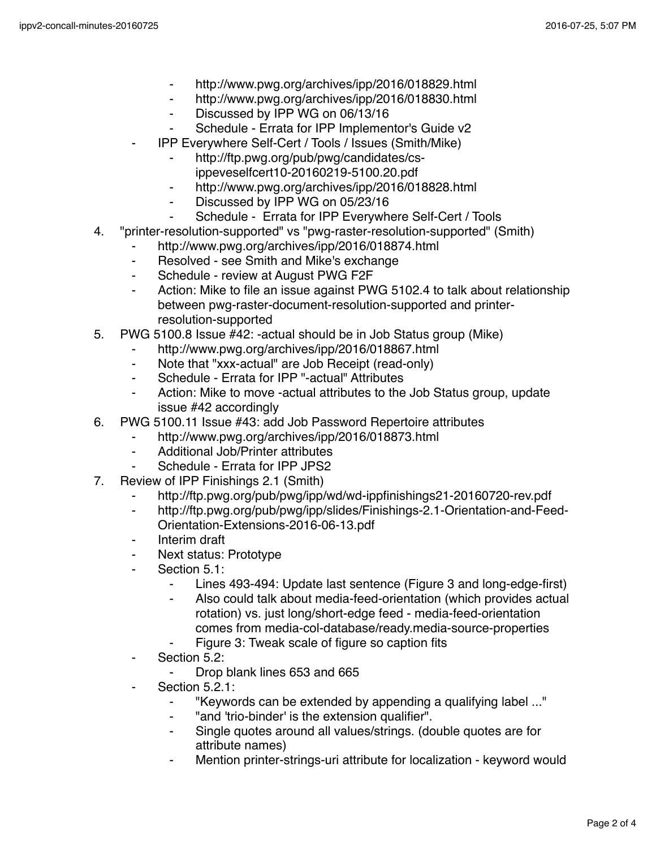- ⁃ http://www.pwg.org/archives/ipp/2016/018829.html
- ⁃ http://www.pwg.org/archives/ipp/2016/018830.html
- ⁃ Discussed by IPP WG on 06/13/16
- Schedule Errata for IPP Implementor's Guide v2
- ⁃ IPP Everywhere Self-Cert / Tools / Issues (Smith/Mike)
	- http://ftp.pwg.org/pub/pwg/candidates/csippeveselfcert10-20160219-5100.20.pdf
	- ⁃ http://www.pwg.org/archives/ipp/2016/018828.html
	- Discussed by IPP WG on 05/23/16
		- Schedule Errata for IPP Everywhere Self-Cert / Tools
- 4. "printer-resolution-supported" vs "pwg-raster-resolution-supported" (Smith)
	- http://www.pwg.org/archives/ipp/2016/018874.html
	- ⁃ Resolved see Smith and Mike's exchange
	- ⁃ Schedule review at August PWG F2F
	- Action: Mike to file an issue against PWG 5102.4 to talk about relationship between pwg-raster-document-resolution-supported and printerresolution-supported
- 5. PWG 5100.8 Issue #42: -actual should be in Job Status group (Mike)
	- http://www.pwg.org/archives/ipp/2016/018867.html
		- ⁃ Note that "xxx-actual" are Job Receipt (read-only)
		- ⁃ Schedule Errata for IPP "-actual" Attributes
		- ⁃ Action: Mike to move -actual attributes to the Job Status group, update issue #42 accordingly
- 6. PWG 5100.11 Issue #43: add Job Password Repertoire attributes
	- http://www.pwg.org/archives/ipp/2016/018873.html
		- Additional Job/Printer attributes
	- ⁃ Schedule Errata for IPP JPS2
- 7. Review of IPP Finishings 2.1 (Smith)
	- http://ftp.pwg.org/pub/pwg/ipp/wd/wd-ippfinishings21-20160720-rev.pdf
	- http://ftp.pwg.org/pub/pwg/ipp/slides/Finishings-2.1-Orientation-and-Feed-Orientation-Extensions-2016-06-13.pdf
	- ⁃ Interim draft
	- Next status: Prototype
	- Section 5.1:
		- ⁃ Lines 493-494: Update last sentence (Figure 3 and long-edge-first)
		- Also could talk about media-feed-orientation (which provides actual rotation) vs. just long/short-edge feed - media-feed-orientation comes from media-col-database/ready.media-source-properties
		- Figure 3: Tweak scale of figure so caption fits
	- ⁃ Section 5.2:
		- Drop blank lines 653 and 665
	- Section 5.2.1:
		- ⁃ "Keywords can be extended by appending a qualifying label ..."
		- ⁃ "and 'trio-binder' is the extension qualifier".
		- ⁃ Single quotes around all values/strings. (double quotes are for attribute names)
		- Mention printer-strings-uri attribute for localization keyword would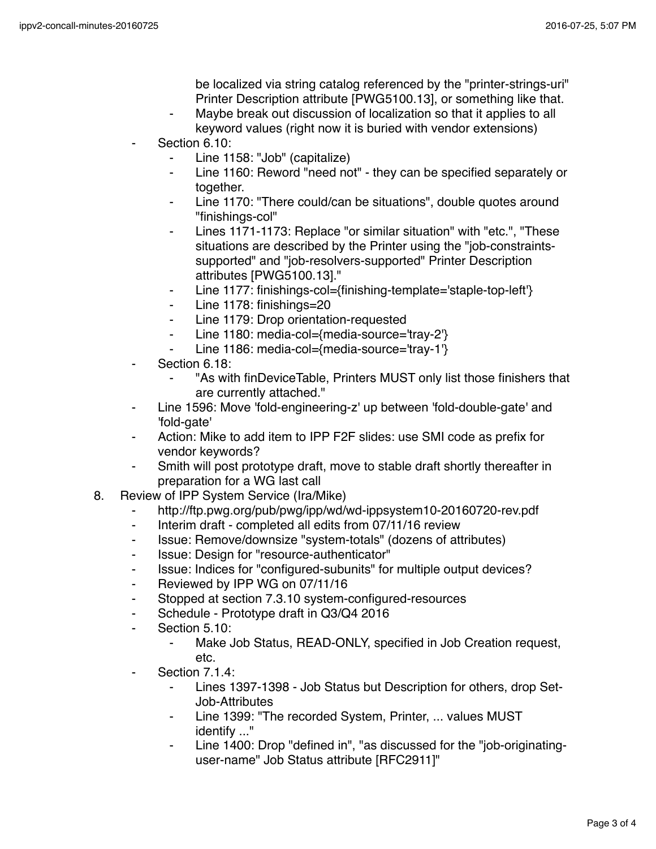be localized via string catalog referenced by the "printer-strings-uri" Printer Description attribute [PWG5100.13], or something like that.

- Maybe break out discussion of localization so that it applies to all keyword values (right now it is buried with vendor extensions)
- Section 6.10:
	- Line 1158: "Job" (capitalize)
	- ⁃ Line 1160: Reword "need not" they can be specified separately or together.
	- Line 1170: "There could/can be situations", double quotes around "finishings-col"
	- Lines 1171-1173: Replace "or similar situation" with "etc.", "These situations are described by the Printer using the "job-constraintssupported" and "job-resolvers-supported" Printer Description attributes [PWG5100.13]."
	- Line 1177: finishings-col={finishing-template='staple-top-left'}
	- ⁃ Line 1178: finishings=20
	- Line 1179: Drop orientation-requested
	- ⁃ Line 1180: media-col={media-source='tray-2'}
	- Line 1186: media-col={media-source='tray-1'}
- Section 6.18:
	- "As with finDeviceTable, Printers MUST only list those finishers that are currently attached."
- Line 1596: Move 'fold-engineering-z' up between 'fold-double-gate' and 'fold-gate'
- Action: Mike to add item to IPP F2F slides: use SMI code as prefix for vendor keywords?
- Smith will post prototype draft, move to stable draft shortly thereafter in preparation for a WG last call
- 8. Review of IPP System Service (Ira/Mike)
	- http://ftp.pwg.org/pub/pwg/ipp/wd/wd-ippsystem10-20160720-rev.pdf
	- ⁃ Interim draft completed all edits from 07/11/16 review
	- ⁃ Issue: Remove/downsize "system-totals" (dozens of attributes)
	- Issue: Design for "resource-authenticator"
	- ⁃ Issue: Indices for "configured-subunits" for multiple output devices?
	- ⁃ Reviewed by IPP WG on 07/11/16
	- Stopped at section 7.3.10 system-configured-resources
	- ⁃ Schedule Prototype draft in Q3/Q4 2016
	- Section 5.10:
		- Make Job Status, READ-ONLY, specified in Job Creation request, etc.
	- Section 7.1.4:
		- ⁃ Lines 1397-1398 Job Status but Description for others, drop Set-Job-Attributes
		- Line 1399: "The recorded System, Printer, ... values MUST identify ..."
		- Line 1400: Drop "defined in", "as discussed for the "job-originatinguser-name" Job Status attribute [RFC2911]"